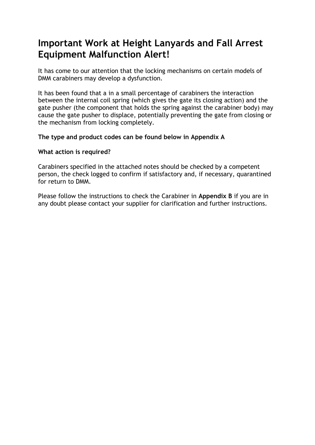## **Important Work at Height Lanyards and Fall Arrest Equipment Malfunction Alert!**

It has come to our attention that the locking mechanisms on certain models of DMM carabiners may develop a dysfunction.

It has been found that a in a small percentage of carabiners the interaction between the internal coil spring (which gives the gate its closing action) and the gate pusher (the component that holds the spring against the carabiner body) may cause the gate pusher to displace, potentially preventing the gate from closing or the mechanism from locking completely.

#### **The type and product codes can be found below in Appendix A**

#### **What action is required?**

Carabiners specified in the attached notes should be checked by a competent person, the check logged to confirm if satisfactory and, if necessary, quarantined for return to DMM.

Please follow the instructions to check the Carabiner in **Appendix B** if you are in any doubt please contact your supplier for clarification and further instructions.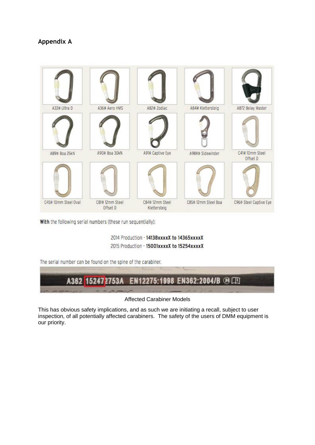#### **Appendix A**



With the following serial numbers (these run sequentially):

2014 Production - 14138xxxxX to 14365xxxxX 2015 Production - 15001xxxxX to 15254xxxxX

The serial number can be found on the spine of the carabiner.



Affected Carabiner Models

This has obvious safety implications, and as such we are initiating a recall, subject to user inspection, of all potentially affected carabiners. The safety of the users of DMM equipment is our priority.